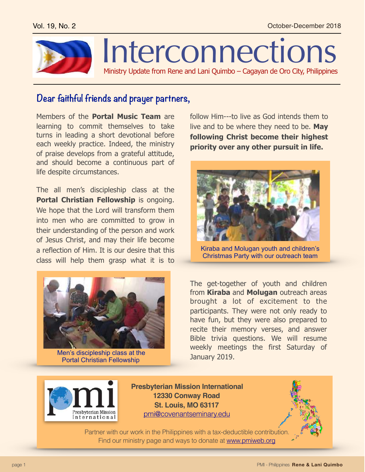

## **Dear faithful friends and prayer partners,**

Members of the **Portal Music Team** are learning to commit themselves to take turns in leading a short devotional before each weekly practice. Indeed, the ministry of praise develops from a grateful attitude, and should become a continuous part of life despite circumstances.

The all men's discipleship class at the **Portal Christian Fellowship** is ongoing. We hope that the Lord will transform them into men who are committed to grow in their understanding of the person and work of Jesus Christ, and may their life become a reflection of Him. It is our desire that this class will help them grasp what it is to



Men's discipleship class at the Portal Christian Fellowship

follow Him---to live as God intends them to live and to be where they need to be. **May following Christ become their highest priority over any other pursuit in life.** 



Kiraba and Molugan youth and children's Christmas Party with our outreach team

The get-together of youth and children from **Kiraba** and **Molugan** outreach areas brought a lot of excitement to the participants. They were not only ready to have fun, but they were also prepared to recite their memory verses, and answer Bible trivia questions. We will resume weekly meetings the first Saturday of January 2019.



**Presbyterian Mission International 12330 Conway Road St. Louis, MO 63117** [pmi@covenantseminary.edu](mailto:pmi@covenantseminary.edu)



Partner with our work in the Philippines with a tax-deductible contribution. Find our ministry page and ways to donate at [www.pmiweb.org](http://www.pmiweb.org)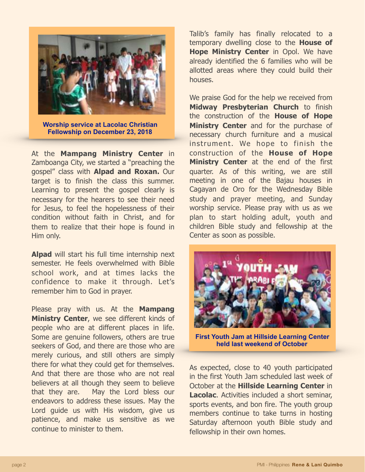

**Worship service at Lacolac Christian Fellowship on December 23, 2018**

At the **Mampang Ministry Center** in Zamboanga City, we started a "preaching the gospel" class with **Alpad and Roxan.** Our target is to finish the class this summer. Learning to present the gospel clearly is necessary for the hearers to see their need for Jesus, to feel the hopelessness of their condition without faith in Christ, and for them to realize that their hope is found in Him only.

**Alpad** will start his full time internship next semester. He feels overwhelmed with Bible school work, and at times lacks the confidence to make it through. Let's remember him to God in prayer.

Please pray with us. At the **Mampang Ministry Center**, we see different kinds of people who are at different places in life. Some are genuine followers, others are true seekers of God, and there are those who are merely curious, and still others are simply there for what they could get for themselves. And that there are those who are not real believers at all though they seem to believe that they are. May the Lord bless our endeavors to address these issues. May the Lord guide us with His wisdom, give us patience, and make us sensitive as we continue to minister to them.

Talib's family has finally relocated to a temporary dwelling close to the **House of Hope Ministry Center** in Opol. We have already identified the 6 families who will be allotted areas where they could build their houses.

We praise God for the help we received from **Midway Presbyterian Church** to finish the construction of the **House of Hope Ministry Center** and for the purchase of necessary church furniture and a musical instrument. We hope to finish the construction of the **House of Hope Ministry Center** at the end of the first quarter. As of this writing, we are still meeting in one of the Bajau houses in Cagayan de Oro for the Wednesday Bible study and prayer meeting, and Sunday worship service. Please pray with us as we plan to start holding adult, youth and children Bible study and fellowship at the Center as soon as possible.



**First Youth Jam at Hillside Learning Center held last weekend of October**

As expected, close to 40 youth participated in the first Youth Jam scheduled last week of October at the **Hillside Learning Center** in **Lacolac**. Activities included a short seminar, sports events, and bon fire. The youth group members continue to take turns in hosting Saturday afternoon youth Bible study and fellowship in their own homes.